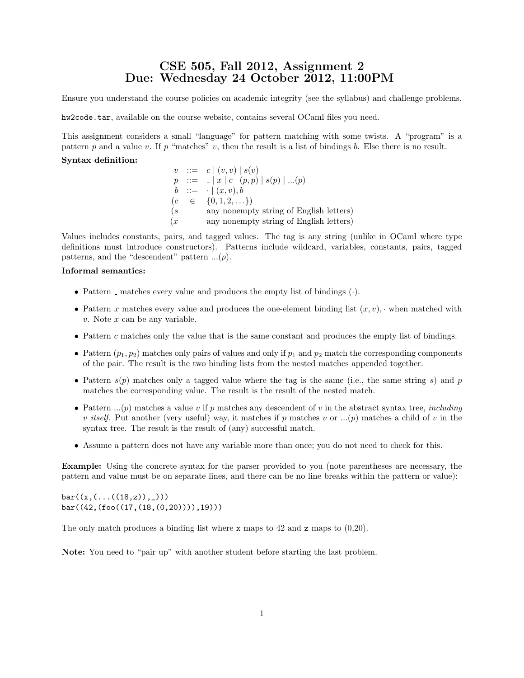# CSE 505, Fall 2012, Assignment 2 Due: Wednesday 24 October 2012, 11:00PM

Ensure you understand the course policies on academic integrity (see the syllabus) and challenge problems.

hw2code.tar, available on the course website, contains several OCaml files you need.

This assignment considers a small "language" for pattern matching with some twists. A "program" is a pattern p and a value v. If p "matches" v, then the result is a list of bindings b. Else there is no result.

### Syntax definition:

 $v : := c | (v, v) | s(v)$  $p : := |x| c | (p, p) | s(p) | ... (p)$  $b \ ::= \ \cdot \mid (x, v), b$  $(c \in \{0, 1, 2, \ldots\})$ (s any nonempty string of English letters)  $(x \t any nonempty string of English letters)$ 

Values includes constants, pairs, and tagged values. The tag is any string (unlike in OCaml where type definitions must introduce constructors). Patterns include wildcard, variables, constants, pairs, tagged patterns, and the "descendent" pattern  $...(p)$ .

### Informal semantics:

- Pattern  $\Box$  matches every value and produces the empty list of bindings  $(\cdot)$ .
- Pattern x matches every value and produces the one-element binding list  $(x, v)$ , when matched with  $v.$  Note  $x$  can be any variable.
- Pattern c matches only the value that is the same constant and produces the empty list of bindings.
- Pattern  $(p_1, p_2)$  matches only pairs of values and only if  $p_1$  and  $p_2$  match the corresponding components of the pair. The result is the two binding lists from the nested matches appended together.
- Pattern  $s(p)$  matches only a tagged value where the tag is the same (i.e., the same string s) and p matches the corresponding value. The result is the result of the nested match.
- Pattern  $\ldots(p)$  matches a value v if p matches any descendent of v in the abstract syntax tree, *including* v itself. Put another (very useful) way, it matches if p matches v or  $...(p)$  matches a child of v in the syntax tree. The result is the result of (any) successful match.
- Assume a pattern does not have any variable more than once; you do not need to check for this.

Example: Using the concrete syntax for the parser provided to you (note parentheses are necessary, the pattern and value must be on separate lines, and there can be no line breaks within the pattern or value):

 $bar((x, (...(18, z)),$ bar((42,(foo((17,(18,(0,20)))),19)))

The only match produces a binding list where x maps to 42 and z maps to  $(0,20)$ .

Note: You need to "pair up" with another student before starting the last problem.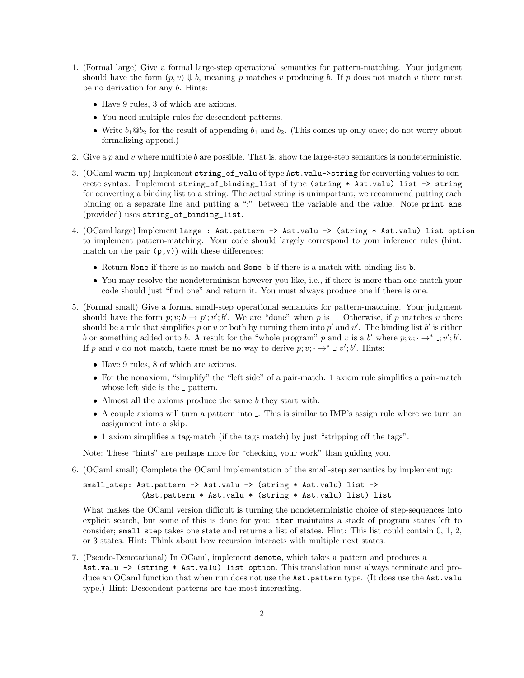- 1. (Formal large) Give a formal large-step operational semantics for pattern-matching. Your judgment should have the form  $(p, v) \Downarrow b$ , meaning p matches v producing b. If p does not match v there must be no derivation for any b. Hints:
	- Have 9 rules, 3 of which are axioms.
	- You need multiple rules for descendent patterns.
	- Write  $b_1@b_2$  for the result of appending  $b_1$  and  $b_2$ . (This comes up only once; do not worry about formalizing append.)
- 2. Give a p and v where multiple b are possible. That is, show the large-step semantics is nondeterministic.
- 3. (OCaml warm-up) Implement string\_of\_valu of type Ast.valu->string for converting values to concrete syntax. Implement string\_of\_binding\_list of type (string \* Ast.valu) list -> string for converting a binding list to a string. The actual string is unimportant; we recommend putting each binding on a separate line and putting a ":" between the variable and the value. Note print\_ans (provided) uses string\_of\_binding\_list.
- 4. (OCaml large) Implement large : Ast.pattern -> Ast.valu -> (string \* Ast.valu) list option to implement pattern-matching. Your code should largely correspond to your inference rules (hint: match on the pair  $(p, v)$  with these differences:
	- Return None if there is no match and Some b if there is a match with binding-list b.
	- You may resolve the nondeterminism however you like, i.e., if there is more than one match your code should just "find one" and return it. You must always produce one if there is one.
- 5. (Formal small) Give a formal small-step operational semantics for pattern-matching. Your judgment should have the form  $p; v; b \to p'; v'; b'$ . We are "done" when p is ... Otherwise, if p matches v there should be a rule that simplifies p or v or both by turning them into p' and v'. The binding list b' is either b or something added onto b. A result for the "whole program" p and v is a b' where  $p; v; \rightarrow^* \rightarrow v'; b'.$ If p and v do not match, there must be no way to derive  $p; v; \rightarrow^* \dots, v'; b'.$  Hints:
	- Have 9 rules, 8 of which are axioms.
	- For the nonaxiom, "simplify" the "left side" of a pair-match. 1 axiom rule simplifies a pair-match whose left side is the  $\overline{\phantom{a}}$  pattern.
	- Almost all the axioms produce the same b they start with.
	- A couple axioms will turn a pattern into . This is similar to IMP's assign rule where we turn an assignment into a skip.
	- 1 axiom simplifies a tag-match (if the tags match) by just "stripping off the tags".

Note: These "hints" are perhaps more for "checking your work" than guiding you.

6. (OCaml small) Complete the OCaml implementation of the small-step semantics by implementing:

small\_step: Ast.pattern -> Ast.valu -> (string \* Ast.valu) list -> (Ast.pattern \* Ast.valu \* (string \* Ast.valu) list) list

What makes the OCaml version difficult is turning the nondeterministic choice of step-sequences into explicit search, but some of this is done for you: iter maintains a stack of program states left to consider; small step takes one state and returns a list of states. Hint: This list could contain 0, 1, 2, or 3 states. Hint: Think about how recursion interacts with multiple next states.

7. (Pseudo-Denotational) In OCaml, implement denote, which takes a pattern and produces a Ast.valu -> (string \* Ast.valu) list option. This translation must always terminate and produce an OCaml function that when run does not use the Ast.pattern type. (It does use the Ast.valu type.) Hint: Descendent patterns are the most interesting.